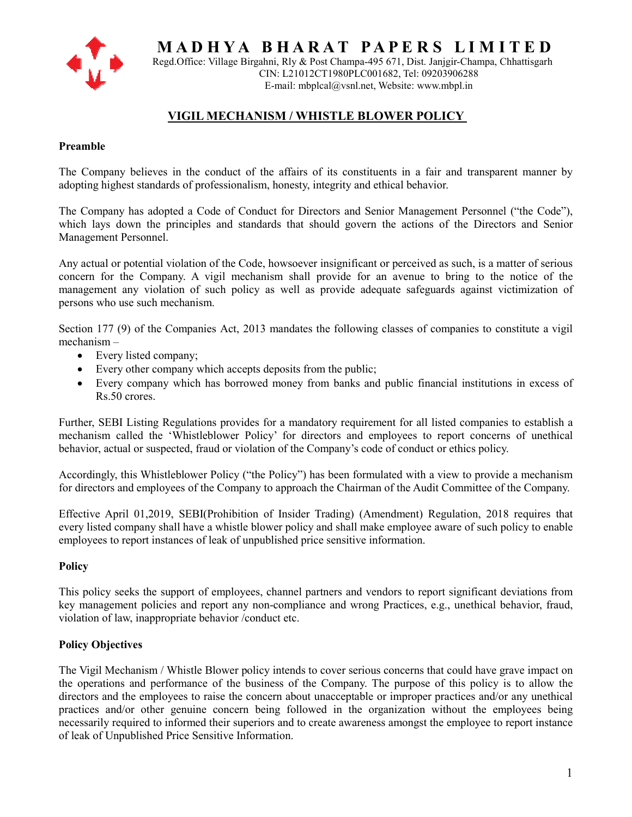

 **M A D H Y A B H A R A T P A P E R S L I M I T E D** 

Regd.Office: Village Birgahni, Rly & Post Champa-495 671, Dist. Janjgir-Champa, Chhattisgarh CIN: L21012CT1980PLC001682, Tel: 09203906288 E-mail: mbplcal@vsnl.net, Website: www.mbpl.in

# **VIGIL MECHANISM / WHISTLE BLOWER POLICY**

#### **Preamble**

The Company believes in the conduct of the affairs of its constituents in a fair and transparent manner by adopting highest standards of professionalism, honesty, integrity and ethical behavior.

The Company has adopted a Code of Conduct for Directors and Senior Management Personnel ("the Code"), which lays down the principles and standards that should govern the actions of the Directors and Senior Management Personnel.

Any actual or potential violation of the Code, howsoever insignificant or perceived as such, is a matter of serious concern for the Company. A vigil mechanism shall provide for an avenue to bring to the notice of the management any violation of such policy as well as provide adequate safeguards against victimization of persons who use such mechanism.

Section 177 (9) of the Companies Act, 2013 mandates the following classes of companies to constitute a vigil mechanism –

- Every listed company;
- Every other company which accepts deposits from the public;
- Every company which has borrowed money from banks and public financial institutions in excess of Rs.50 crores.

Further, SEBI Listing Regulations provides for a mandatory requirement for all listed companies to establish a mechanism called the 'Whistleblower Policy' for directors and employees to report concerns of unethical behavior, actual or suspected, fraud or violation of the Company's code of conduct or ethics policy.

Accordingly, this Whistleblower Policy ("the Policy") has been formulated with a view to provide a mechanism for directors and employees of the Company to approach the Chairman of the Audit Committee of the Company.

Effective April 01,2019, SEBI(Prohibition of Insider Trading) (Amendment) Regulation, 2018 requires that every listed company shall have a whistle blower policy and shall make employee aware of such policy to enable employees to report instances of leak of unpublished price sensitive information.

#### **Policy**

This policy seeks the support of employees, channel partners and vendors to report significant deviations from key management policies and report any non-compliance and wrong Practices, e.g., unethical behavior, fraud, violation of law, inappropriate behavior /conduct etc.

#### **Policy Objectives**

The Vigil Mechanism / Whistle Blower policy intends to cover serious concerns that could have grave impact on the operations and performance of the business of the Company. The purpose of this policy is to allow the directors and the employees to raise the concern about unacceptable or improper practices and/or any unethical practices and/or other genuine concern being followed in the organization without the employees being necessarily required to informed their superiors and to create awareness amongst the employee to report instance of leak of Unpublished Price Sensitive Information.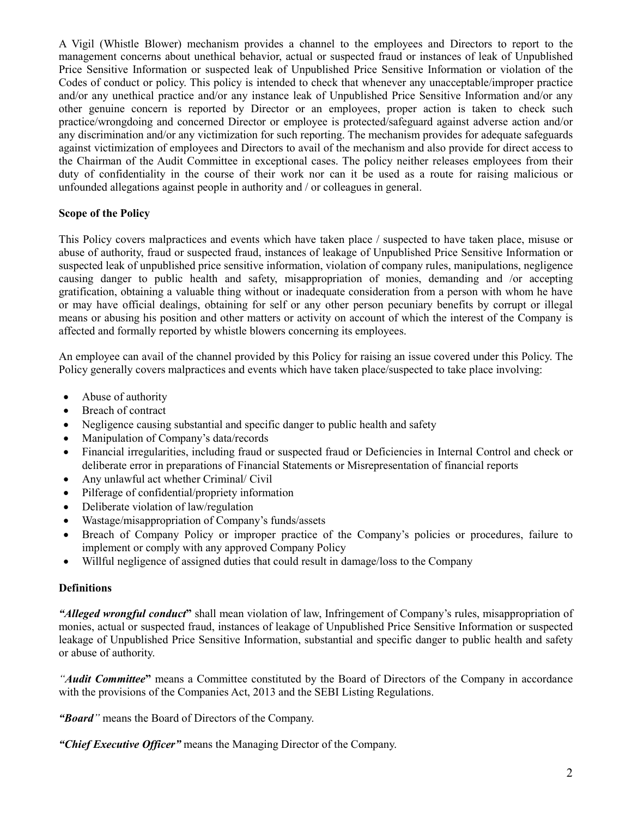A Vigil (Whistle Blower) mechanism provides a channel to the employees and Directors to report to the management concerns about unethical behavior, actual or suspected fraud or instances of leak of Unpublished Price Sensitive Information or suspected leak of Unpublished Price Sensitive Information or violation of the Codes of conduct or policy. This policy is intended to check that whenever any unacceptable/improper practice and/or any unethical practice and/or any instance leak of Unpublished Price Sensitive Information and/or any other genuine concern is reported by Director or an employees, proper action is taken to check such practice/wrongdoing and concerned Director or employee is protected/safeguard against adverse action and/or any discrimination and/or any victimization for such reporting. The mechanism provides for adequate safeguards against victimization of employees and Directors to avail of the mechanism and also provide for direct access to the Chairman of the Audit Committee in exceptional cases. The policy neither releases employees from their duty of confidentiality in the course of their work nor can it be used as a route for raising malicious or unfounded allegations against people in authority and / or colleagues in general.

# **Scope of the Policy**

This Policy covers malpractices and events which have taken place / suspected to have taken place, misuse or abuse of authority, fraud or suspected fraud, instances of leakage of Unpublished Price Sensitive Information or suspected leak of unpublished price sensitive information, violation of company rules, manipulations, negligence causing danger to public health and safety, misappropriation of monies, demanding and /or accepting gratification, obtaining a valuable thing without or inadequate consideration from a person with whom he have or may have official dealings, obtaining for self or any other person pecuniary benefits by corrupt or illegal means or abusing his position and other matters or activity on account of which the interest of the Company is affected and formally reported by whistle blowers concerning its employees.

An employee can avail of the channel provided by this Policy for raising an issue covered under this Policy. The Policy generally covers malpractices and events which have taken place/suspected to take place involving:

- Abuse of authority
- Breach of contract
- Negligence causing substantial and specific danger to public health and safety
- Manipulation of Company's data/records
- Financial irregularities, including fraud or suspected fraud or Deficiencies in Internal Control and check or deliberate error in preparations of Financial Statements or Misrepresentation of financial reports
- Any unlawful act whether Criminal/ Civil
- Pilferage of confidential/propriety information
- Deliberate violation of law/regulation
- Wastage/misappropriation of Company's funds/assets
- Breach of Company Policy or improper practice of the Company's policies or procedures, failure to implement or comply with any approved Company Policy
- Willful negligence of assigned duties that could result in damage/loss to the Company

#### **Definitions**

*"Alleged wrongful conduct***"** shall mean violation of law, Infringement of Company's rules, misappropriation of monies, actual or suspected fraud, instances of leakage of Unpublished Price Sensitive Information or suspected leakage of Unpublished Price Sensitive Information, substantial and specific danger to public health and safety or abuse of authority.

*"Audit Committee***"** means a Committee constituted by the Board of Directors of the Company in accordance with the provisions of the Companies Act, 2013 and the SEBI Listing Regulations.

*"Board"* means the Board of Directors of the Company.

*"Chief Executive Officer"* means the Managing Director of the Company.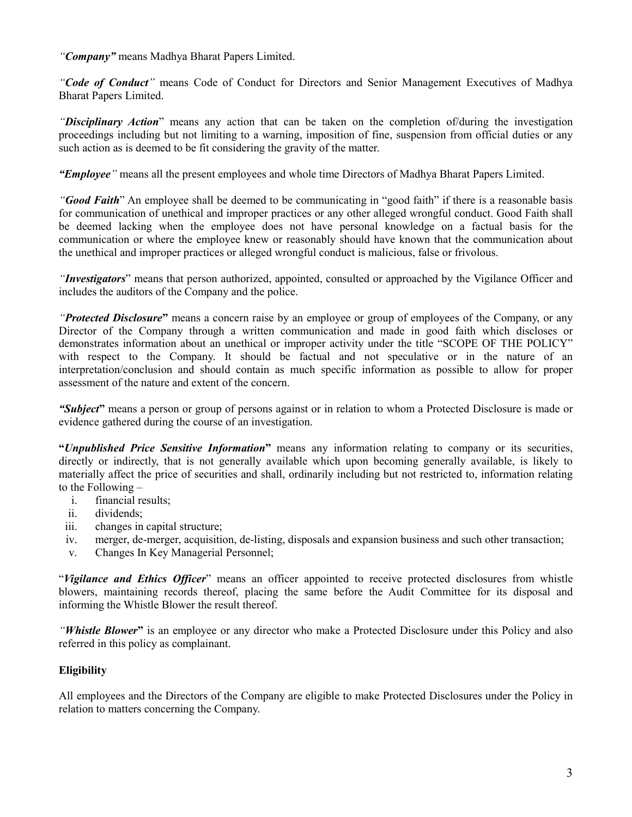*"Company"* means Madhya Bharat Papers Limited.

*"Code of Conduct"* means Code of Conduct for Directors and Senior Management Executives of Madhya Bharat Papers Limited.

*"Disciplinary Action*" means any action that can be taken on the completion of/during the investigation proceedings including but not limiting to a warning, imposition of fine, suspension from official duties or any such action as is deemed to be fit considering the gravity of the matter.

*"Employee"* means all the present employees and whole time Directors of Madhya Bharat Papers Limited.

*"Good Faith*" An employee shall be deemed to be communicating in "good faith" if there is a reasonable basis for communication of unethical and improper practices or any other alleged wrongful conduct. Good Faith shall be deemed lacking when the employee does not have personal knowledge on a factual basis for the communication or where the employee knew or reasonably should have known that the communication about the unethical and improper practices or alleged wrongful conduct is malicious, false or frivolous.

*"Investigators*" means that person authorized, appointed, consulted or approached by the Vigilance Officer and includes the auditors of the Company and the police.

*"Protected Disclosure***"** means a concern raise by an employee or group of employees of the Company, or any Director of the Company through a written communication and made in good faith which discloses or demonstrates information about an unethical or improper activity under the title "SCOPE OF THE POLICY" with respect to the Company. It should be factual and not speculative or in the nature of an interpretation/conclusion and should contain as much specific information as possible to allow for proper assessment of the nature and extent of the concern.

*"Subject***"** means a person or group of persons against or in relation to whom a Protected Disclosure is made or evidence gathered during the course of an investigation.

**"***Unpublished Price Sensitive Information***"** means any information relating to company or its securities, directly or indirectly, that is not generally available which upon becoming generally available, is likely to materially affect the price of securities and shall, ordinarily including but not restricted to, information relating to the Following –

- i. financial results;
- ii. dividends;
- iii. changes in capital structure;
- iv. merger, de-merger, acquisition, de-listing, disposals and expansion business and such other transaction;
- v. Changes In Key Managerial Personnel;

"*Vigilance and Ethics Officer*" means an officer appointed to receive protected disclosures from whistle blowers, maintaining records thereof, placing the same before the Audit Committee for its disposal and informing the Whistle Blower the result thereof.

*"Whistle Blower***"** is an employee or any director who make a Protected Disclosure under this Policy and also referred in this policy as complainant.

# **Eligibility**

All employees and the Directors of the Company are eligible to make Protected Disclosures under the Policy in relation to matters concerning the Company.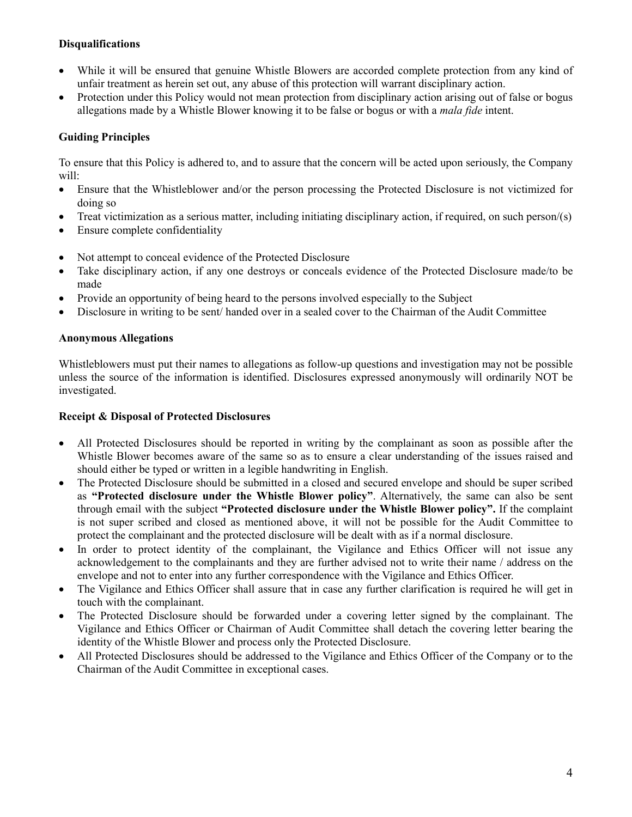# **Disqualifications**

- While it will be ensured that genuine Whistle Blowers are accorded complete protection from any kind of unfair treatment as herein set out, any abuse of this protection will warrant disciplinary action.
- Protection under this Policy would not mean protection from disciplinary action arising out of false or bogus allegations made by a Whistle Blower knowing it to be false or bogus or with a *mala fide* intent.

# **Guiding Principles**

To ensure that this Policy is adhered to, and to assure that the concern will be acted upon seriously, the Company will:

- Ensure that the Whistleblower and/or the person processing the Protected Disclosure is not victimized for doing so
- Treat victimization as a serious matter, including initiating disciplinary action, if required, on such person/(s)
- Ensure complete confidentiality
- Not attempt to conceal evidence of the Protected Disclosure
- Take disciplinary action, if any one destroys or conceals evidence of the Protected Disclosure made/to be made
- Provide an opportunity of being heard to the persons involved especially to the Subject
- Disclosure in writing to be sent/ handed over in a sealed cover to the Chairman of the Audit Committee

### **Anonymous Allegations**

Whistleblowers must put their names to allegations as follow-up questions and investigation may not be possible unless the source of the information is identified. Disclosures expressed anonymously will ordinarily NOT be investigated.

# **Receipt & Disposal of Protected Disclosures**

- All Protected Disclosures should be reported in writing by the complainant as soon as possible after the Whistle Blower becomes aware of the same so as to ensure a clear understanding of the issues raised and should either be typed or written in a legible handwriting in English.
- The Protected Disclosure should be submitted in a closed and secured envelope and should be super scribed as **"Protected disclosure under the Whistle Blower policy"**. Alternatively, the same can also be sent through email with the subject **"Protected disclosure under the Whistle Blower policy".** If the complaint is not super scribed and closed as mentioned above, it will not be possible for the Audit Committee to protect the complainant and the protected disclosure will be dealt with as if a normal disclosure.
- In order to protect identity of the complainant, the Vigilance and Ethics Officer will not issue any acknowledgement to the complainants and they are further advised not to write their name / address on the envelope and not to enter into any further correspondence with the Vigilance and Ethics Officer.
- The Vigilance and Ethics Officer shall assure that in case any further clarification is required he will get in touch with the complainant.
- The Protected Disclosure should be forwarded under a covering letter signed by the complainant. The Vigilance and Ethics Officer or Chairman of Audit Committee shall detach the covering letter bearing the identity of the Whistle Blower and process only the Protected Disclosure.
- All Protected Disclosures should be addressed to the Vigilance and Ethics Officer of the Company or to the Chairman of the Audit Committee in exceptional cases.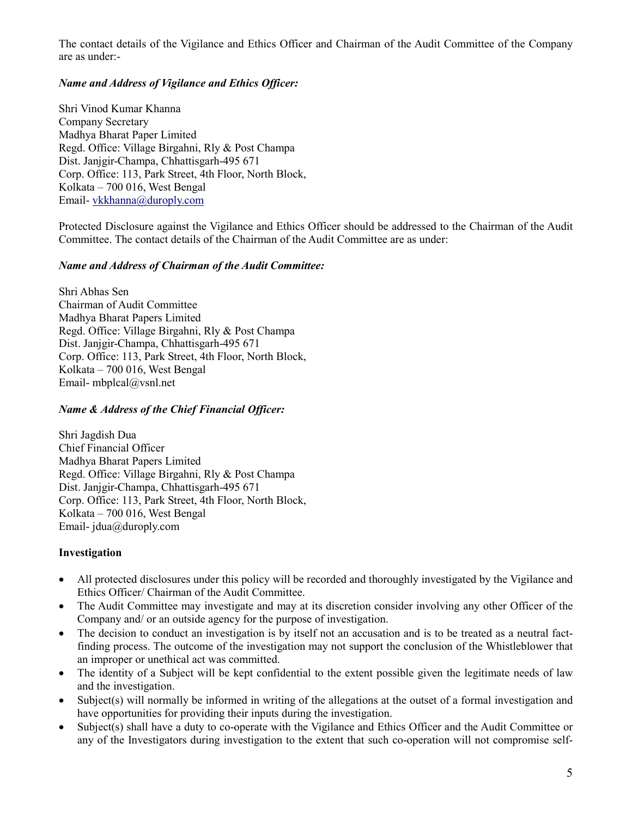The contact details of the Vigilance and Ethics Officer and Chairman of the Audit Committee of the Company are as under:-

# *Name and Address of Vigilance and Ethics Officer:*

Shri Vinod Kumar Khanna Company Secretary Madhya Bharat Paper Limited Regd. Office: Village Birgahni, Rly & Post Champa Dist. Janjgir-Champa, Chhattisgarh-495 671 Corp. Office: 113, Park Street, 4th Floor, North Block, Kolkata – 700 016, West Bengal Email- vkkhanna@duroply.com

Protected Disclosure against the Vigilance and Ethics Officer should be addressed to the Chairman of the Audit Committee. The contact details of the Chairman of the Audit Committee are as under:

### *Name and Address of Chairman of the Audit Committee:*

Shri Abhas Sen Chairman of Audit Committee Madhya Bharat Papers Limited Regd. Office: Village Birgahni, Rly & Post Champa Dist. Janjgir-Champa, Chhattisgarh-495 671 Corp. Office: 113, Park Street, 4th Floor, North Block, Kolkata – 700 016, West Bengal Email- mbplcal@vsnl.net

# *Name & Address of the Chief Financial Officer:*

Shri Jagdish Dua Chief Financial Officer Madhya Bharat Papers Limited Regd. Office: Village Birgahni, Rly & Post Champa Dist. Janjgir-Champa, Chhattisgarh-495 671 Corp. Office: 113, Park Street, 4th Floor, North Block, Kolkata – 700 016, West Bengal Email- jdua@duroply.com

#### **Investigation**

- All protected disclosures under this policy will be recorded and thoroughly investigated by the Vigilance and Ethics Officer/ Chairman of the Audit Committee.
- The Audit Committee may investigate and may at its discretion consider involving any other Officer of the Company and/ or an outside agency for the purpose of investigation.
- The decision to conduct an investigation is by itself not an accusation and is to be treated as a neutral factfinding process. The outcome of the investigation may not support the conclusion of the Whistleblower that an improper or unethical act was committed.
- The identity of a Subject will be kept confidential to the extent possible given the legitimate needs of law and the investigation.
- Subject(s) will normally be informed in writing of the allegations at the outset of a formal investigation and have opportunities for providing their inputs during the investigation.
- Subject(s) shall have a duty to co-operate with the Vigilance and Ethics Officer and the Audit Committee or any of the Investigators during investigation to the extent that such co-operation will not compromise self-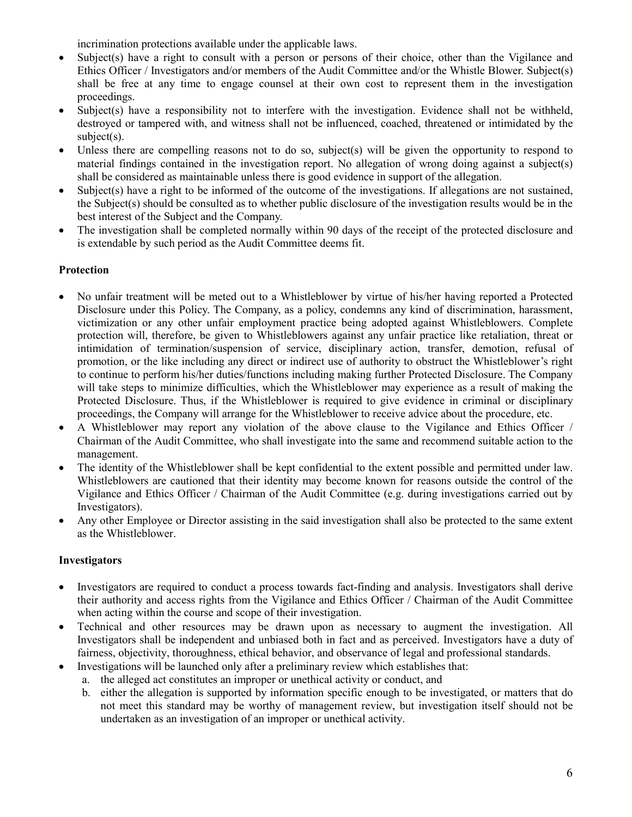incrimination protections available under the applicable laws.

- Subject(s) have a right to consult with a person or persons of their choice, other than the Vigilance and Ethics Officer / Investigators and/or members of the Audit Committee and/or the Whistle Blower. Subject(s) shall be free at any time to engage counsel at their own cost to represent them in the investigation proceedings.
- Subject(s) have a responsibility not to interfere with the investigation. Evidence shall not be withheld, destroyed or tampered with, and witness shall not be influenced, coached, threatened or intimidated by the subject(s).
- Unless there are compelling reasons not to do so, subject(s) will be given the opportunity to respond to material findings contained in the investigation report. No allegation of wrong doing against a subject(s) shall be considered as maintainable unless there is good evidence in support of the allegation.
- Subject(s) have a right to be informed of the outcome of the investigations. If allegations are not sustained, the Subject(s) should be consulted as to whether public disclosure of the investigation results would be in the best interest of the Subject and the Company.
- The investigation shall be completed normally within 90 days of the receipt of the protected disclosure and is extendable by such period as the Audit Committee deems fit.

# **Protection**

- No unfair treatment will be meted out to a Whistleblower by virtue of his/her having reported a Protected Disclosure under this Policy. The Company, as a policy, condemns any kind of discrimination, harassment, victimization or any other unfair employment practice being adopted against Whistleblowers. Complete protection will, therefore, be given to Whistleblowers against any unfair practice like retaliation, threat or intimidation of termination/suspension of service, disciplinary action, transfer, demotion, refusal of promotion, or the like including any direct or indirect use of authority to obstruct the Whistleblower's right to continue to perform his/her duties/functions including making further Protected Disclosure. The Company will take steps to minimize difficulties, which the Whistleblower may experience as a result of making the Protected Disclosure. Thus, if the Whistleblower is required to give evidence in criminal or disciplinary proceedings, the Company will arrange for the Whistleblower to receive advice about the procedure, etc.
- A Whistleblower may report any violation of the above clause to the Vigilance and Ethics Officer / Chairman of the Audit Committee, who shall investigate into the same and recommend suitable action to the management.
- The identity of the Whistleblower shall be kept confidential to the extent possible and permitted under law. Whistleblowers are cautioned that their identity may become known for reasons outside the control of the Vigilance and Ethics Officer / Chairman of the Audit Committee (e.g. during investigations carried out by Investigators).
- Any other Employee or Director assisting in the said investigation shall also be protected to the same extent as the Whistleblower.

# **Investigators**

- Investigators are required to conduct a process towards fact-finding and analysis. Investigators shall derive their authority and access rights from the Vigilance and Ethics Officer / Chairman of the Audit Committee when acting within the course and scope of their investigation.
- Technical and other resources may be drawn upon as necessary to augment the investigation. All Investigators shall be independent and unbiased both in fact and as perceived. Investigators have a duty of fairness, objectivity, thoroughness, ethical behavior, and observance of legal and professional standards.
- Investigations will be launched only after a preliminary review which establishes that:
	- a. the alleged act constitutes an improper or unethical activity or conduct, and
	- b. either the allegation is supported by information specific enough to be investigated, or matters that do not meet this standard may be worthy of management review, but investigation itself should not be undertaken as an investigation of an improper or unethical activity.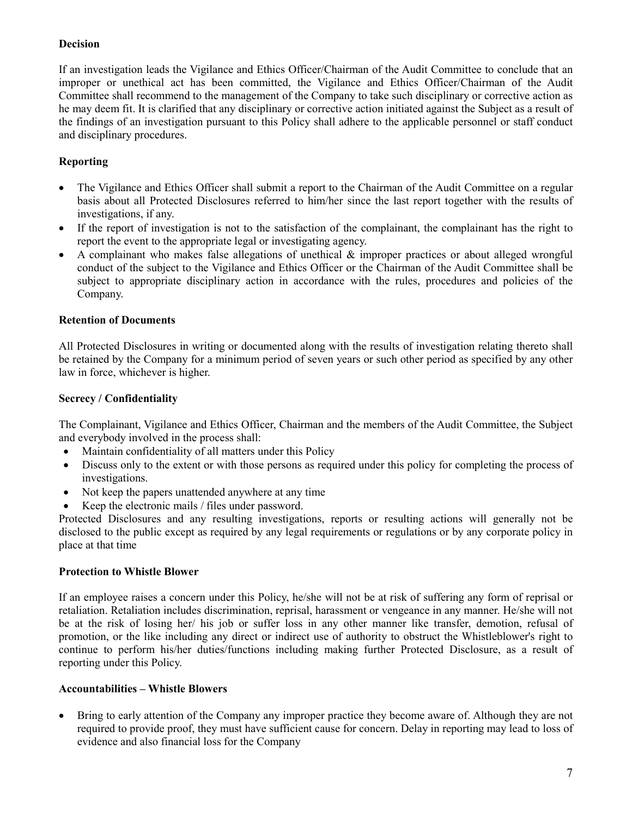# **Decision**

If an investigation leads the Vigilance and Ethics Officer/Chairman of the Audit Committee to conclude that an improper or unethical act has been committed, the Vigilance and Ethics Officer/Chairman of the Audit Committee shall recommend to the management of the Company to take such disciplinary or corrective action as he may deem fit. It is clarified that any disciplinary or corrective action initiated against the Subject as a result of the findings of an investigation pursuant to this Policy shall adhere to the applicable personnel or staff conduct and disciplinary procedures.

# **Reporting**

- The Vigilance and Ethics Officer shall submit a report to the Chairman of the Audit Committee on a regular basis about all Protected Disclosures referred to him/her since the last report together with the results of investigations, if any.
- If the report of investigation is not to the satisfaction of the complainant, the complainant has the right to report the event to the appropriate legal or investigating agency.
- A complainant who makes false allegations of unethical  $\&$  improper practices or about alleged wrongful conduct of the subject to the Vigilance and Ethics Officer or the Chairman of the Audit Committee shall be subject to appropriate disciplinary action in accordance with the rules, procedures and policies of the Company.

### **Retention of Documents**

All Protected Disclosures in writing or documented along with the results of investigation relating thereto shall be retained by the Company for a minimum period of seven years or such other period as specified by any other law in force, whichever is higher.

#### **Secrecy / Confidentiality**

The Complainant, Vigilance and Ethics Officer, Chairman and the members of the Audit Committee, the Subject and everybody involved in the process shall:

- Maintain confidentiality of all matters under this Policy
- Discuss only to the extent or with those persons as required under this policy for completing the process of investigations.
- Not keep the papers unattended anywhere at any time
- Keep the electronic mails / files under password.

Protected Disclosures and any resulting investigations, reports or resulting actions will generally not be disclosed to the public except as required by any legal requirements or regulations or by any corporate policy in place at that time

#### **Protection to Whistle Blower**

If an employee raises a concern under this Policy, he/she will not be at risk of suffering any form of reprisal or retaliation. Retaliation includes discrimination, reprisal, harassment or vengeance in any manner. He/she will not be at the risk of losing her/ his job or suffer loss in any other manner like transfer, demotion, refusal of promotion, or the like including any direct or indirect use of authority to obstruct the Whistleblower's right to continue to perform his/her duties/functions including making further Protected Disclosure, as a result of reporting under this Policy.

#### **Accountabilities – Whistle Blowers**

• Bring to early attention of the Company any improper practice they become aware of. Although they are not required to provide proof, they must have sufficient cause for concern. Delay in reporting may lead to loss of evidence and also financial loss for the Company